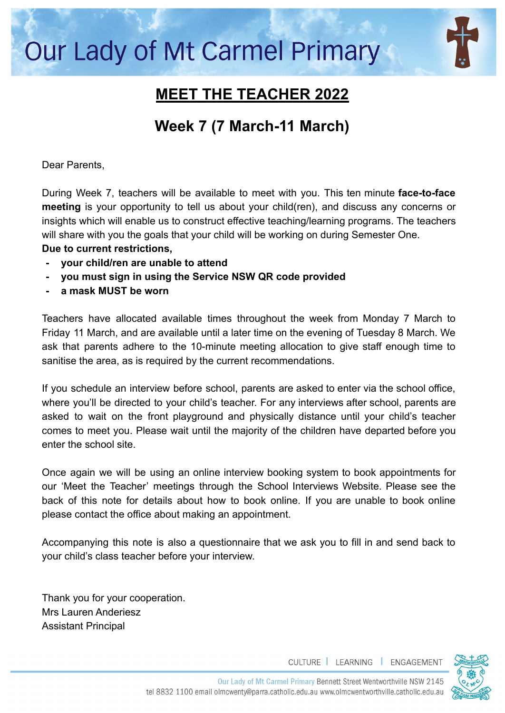# **Our Lady of Mt Carmel Primary**



## **MEET THE TEACHER 2022**

## **Week 7 (7 March-11 March)**

Dear Parents,

During Week 7, teachers will be available to meet with you. This ten minute **face-to-face meeting** is your opportunity to tell us about your child(ren), and discuss any concerns or insights which will enable us to construct effective teaching/learning programs. The teachers will share with you the goals that your child will be working on during Semester One.

#### **Due to current restrictions,**

- **- your child/ren are unable to attend**
- **- you must sign in using the Service NSW QR code provided**
- **- a mask MUST be worn**

Teachers have allocated available times throughout the week from Monday 7 March to Friday 11 March, and are available until a later time on the evening of Tuesday 8 March. We ask that parents adhere to the 10-minute meeting allocation to give staff enough time to sanitise the area, as is required by the current recommendations.

If you schedule an interview before school, parents are asked to enter via the school office, where you'll be directed to your child's teacher. For any interviews after school, parents are asked to wait on the front playground and physically distance until your child's teacher comes to meet you. Please wait until the majority of the children have departed before you enter the school site.

Once again we will be using an online interview booking system to book appointments for our 'Meet the Teacher' meetings through the School Interviews Website. Please see the back of this note for details about how to book online. If you are unable to book online please contact the office about making an appointment.

Accompanying this note is also a questionnaire that we ask you to fill in and send back to your child's class teacher before your interview.

Thank you for your cooperation. Mrs Lauren Anderiesz Assistant Principal

CULTURE | LEARNING | ENGAGEMENT